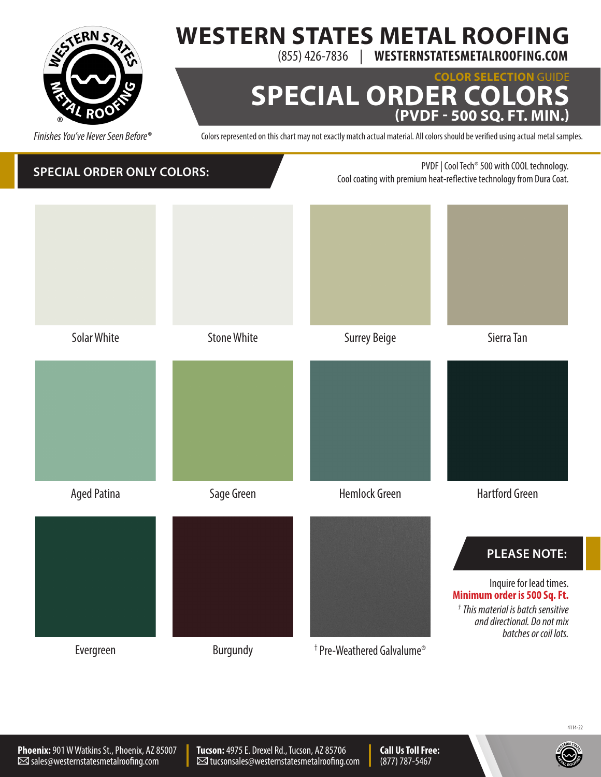

# **WESTERN STATES METAL ROOFING**

(855) 426-7836 | **WESTERNSTATESMETALROOFING.COM**

#### **COLOR SELECTION** GUIDE **SPECIAL ORDER CO (PVDF - 500 SQ. FT. MIN.)**

Colors represented on this chart may not exactly match actual material. All colors should be verified using actual metal samples.



4114-22